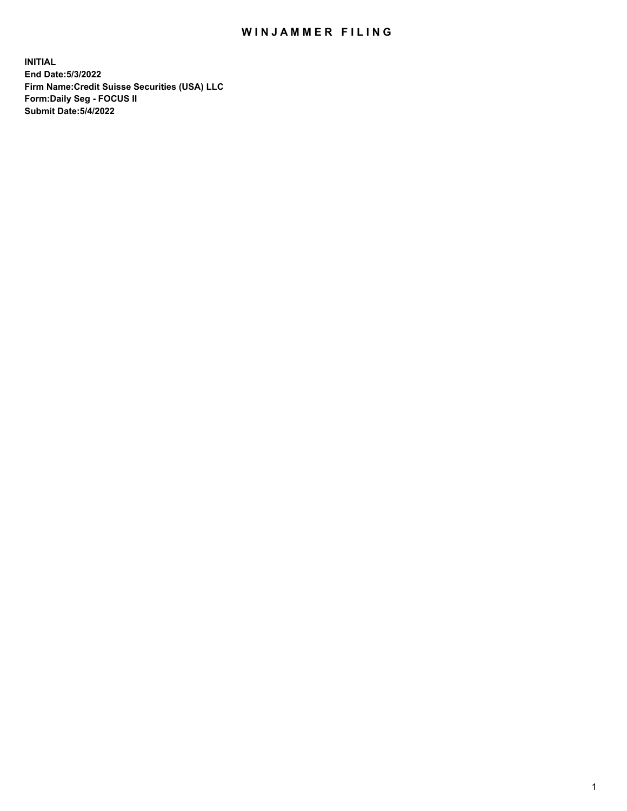# WIN JAMMER FILING

**INITIAL End Date:5/3/2022 Firm Name:Credit Suisse Securities (USA) LLC Form:Daily Seg - FOCUS II Submit Date:5/4/2022**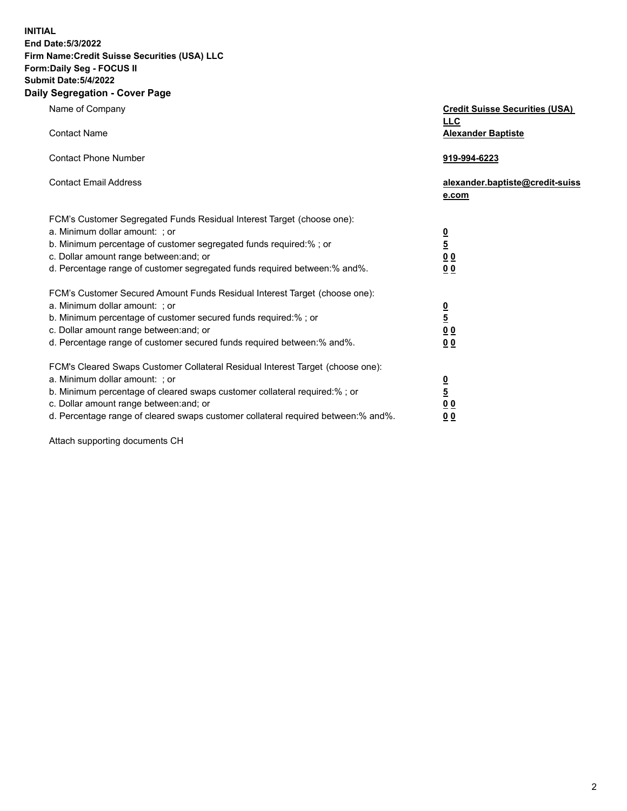**INITIAL**

### **End Date:5/3/2022 Firm Name:Credit Suisse Securities (USA) LLC Form:Daily Seg - FOCUS II**

#### **Submit Date:5/4/2022 Daily Segregation - Cover Page**

| any Jegregation - Cover rage                                                      |                                                     |
|-----------------------------------------------------------------------------------|-----------------------------------------------------|
| Name of Company                                                                   | <b>Credit Suisse Securities (USA)</b><br><b>LLC</b> |
| <b>Contact Name</b>                                                               | <b>Alexander Baptiste</b>                           |
| <b>Contact Phone Number</b>                                                       | 919-994-6223                                        |
| <b>Contact Email Address</b>                                                      | alexander.baptiste@credit-suiss<br>e.com            |
| FCM's Customer Segregated Funds Residual Interest Target (choose one):            |                                                     |
| a. Minimum dollar amount: ; or                                                    |                                                     |
| b. Minimum percentage of customer segregated funds required:% ; or                | $\frac{0}{5}$                                       |
| c. Dollar amount range between: and; or                                           | 0 <sub>0</sub>                                      |
| d. Percentage range of customer segregated funds required between:% and%.         | 0 <sub>0</sub>                                      |
| FCM's Customer Secured Amount Funds Residual Interest Target (choose one):        |                                                     |
| a. Minimum dollar amount: ; or                                                    |                                                     |
| b. Minimum percentage of customer secured funds required:%; or                    | $\frac{0}{\frac{5}{0}}$                             |
| c. Dollar amount range between: and; or                                           |                                                     |
| d. Percentage range of customer secured funds required between:% and%.            | 00                                                  |
| FCM's Cleared Swaps Customer Collateral Residual Interest Target (choose one):    |                                                     |
| a. Minimum dollar amount: ; or                                                    |                                                     |
| b. Minimum percentage of cleared swaps customer collateral required:% ; or        | $\frac{0}{5}$                                       |
| c. Dollar amount range between: and; or                                           | 0 <sub>0</sub>                                      |
| d. Percentage range of cleared swaps customer collateral required between:% and%. | 0 <sub>0</sub>                                      |

Attach supporting documents CH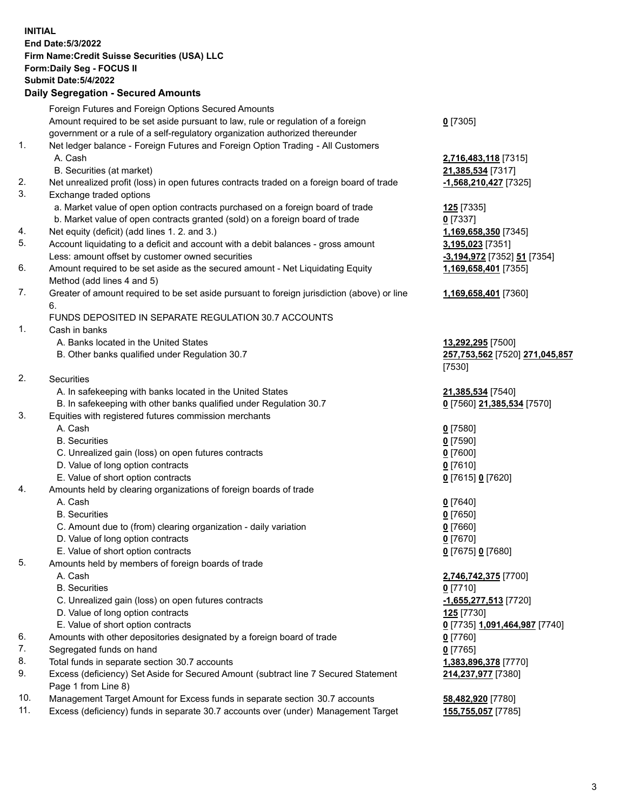## **INITIAL End Date:5/3/2022 Firm Name:Credit Suisse Securities (USA) LLC Form:Daily Seg - FOCUS II Submit Date:5/4/2022**

### **Daily Segregation - Secured Amounts**

|     | Foreign Futures and Foreign Options Secured Amounts                                         |                                |
|-----|---------------------------------------------------------------------------------------------|--------------------------------|
|     | Amount required to be set aside pursuant to law, rule or regulation of a foreign            | $0$ [7305]                     |
|     | government or a rule of a self-regulatory organization authorized thereunder                |                                |
| 1.  | Net ledger balance - Foreign Futures and Foreign Option Trading - All Customers             |                                |
|     | A. Cash                                                                                     | 2,716,483,118 [7315]           |
|     | B. Securities (at market)                                                                   | 21,385,534 [7317]              |
| 2.  | Net unrealized profit (loss) in open futures contracts traded on a foreign board of trade   | -1,568,210,427 [7325]          |
| 3.  | Exchange traded options                                                                     |                                |
|     | a. Market value of open option contracts purchased on a foreign board of trade              | 125 [7335]                     |
|     | b. Market value of open contracts granted (sold) on a foreign board of trade                | $0$ [7337]                     |
| 4.  | Net equity (deficit) (add lines 1. 2. and 3.)                                               | 1,169,658,350 [7345]           |
| 5.  | Account liquidating to a deficit and account with a debit balances - gross amount           | 3,195,023 [7351]               |
|     | Less: amount offset by customer owned securities                                            | -3,194,972 [7352] 51 [7354]    |
| 6.  | Amount required to be set aside as the secured amount - Net Liquidating Equity              | 1,169,658,401 [7355]           |
|     | Method (add lines 4 and 5)                                                                  |                                |
| 7.  | Greater of amount required to be set aside pursuant to foreign jurisdiction (above) or line | 1,169,658,401 [7360]           |
|     | 6.                                                                                          |                                |
|     | FUNDS DEPOSITED IN SEPARATE REGULATION 30.7 ACCOUNTS                                        |                                |
| 1.  | Cash in banks                                                                               |                                |
|     | A. Banks located in the United States                                                       | 13,292,295 [7500]              |
|     | B. Other banks qualified under Regulation 30.7                                              | 257,753,562 [7520] 271,045,857 |
|     |                                                                                             | [7530]                         |
| 2.  | Securities                                                                                  |                                |
|     | A. In safekeeping with banks located in the United States                                   | 21,385,534 [7540]              |
|     | B. In safekeeping with other banks qualified under Regulation 30.7                          | 0 [7560] 21,385,534 [7570]     |
| 3.  | Equities with registered futures commission merchants                                       |                                |
|     | A. Cash                                                                                     | $0$ [7580]                     |
|     | <b>B.</b> Securities                                                                        | $0$ [7590]                     |
|     | C. Unrealized gain (loss) on open futures contracts                                         | $0$ [7600]                     |
|     | D. Value of long option contracts                                                           | $0$ [7610]                     |
|     | E. Value of short option contracts                                                          | 0 [7615] 0 [7620]              |
| 4.  | Amounts held by clearing organizations of foreign boards of trade                           |                                |
|     | A. Cash                                                                                     | $0$ [7640]                     |
|     | <b>B.</b> Securities                                                                        | $0$ [7650]                     |
|     | C. Amount due to (from) clearing organization - daily variation                             | $0$ [7660]                     |
|     | D. Value of long option contracts                                                           | $0$ [7670]                     |
|     | E. Value of short option contracts                                                          | 0 [7675] 0 [7680]              |
| 5.  | Amounts held by members of foreign boards of trade                                          |                                |
|     | A. Cash                                                                                     | 2,746,742,375 [7700]           |
|     | <b>B.</b> Securities                                                                        | $0$ [7710]                     |
|     | C. Unrealized gain (loss) on open futures contracts                                         | -1,655,277,513 [7720]          |
|     | D. Value of long option contracts                                                           | 125 [7730]                     |
|     | E. Value of short option contracts                                                          | 0 [7735] 1,091,464,987 [7740]  |
| 6.  | Amounts with other depositories designated by a foreign board of trade                      | $0$ [7760]                     |
| 7.  | Segregated funds on hand                                                                    | $0$ [7765]                     |
| 8.  | Total funds in separate section 30.7 accounts                                               | 1,383,896,378 [7770]           |
| 9.  | Excess (deficiency) Set Aside for Secured Amount (subtract line 7 Secured Statement         | 214,237,977 [7380]             |
|     | Page 1 from Line 8)                                                                         |                                |
| 10. | Management Target Amount for Excess funds in separate section 30.7 accounts                 | 58,482,920 [7780]              |
|     |                                                                                             |                                |

11. Excess (deficiency) funds in separate 30.7 accounts over (under) Management Target **155,755,057** [7785]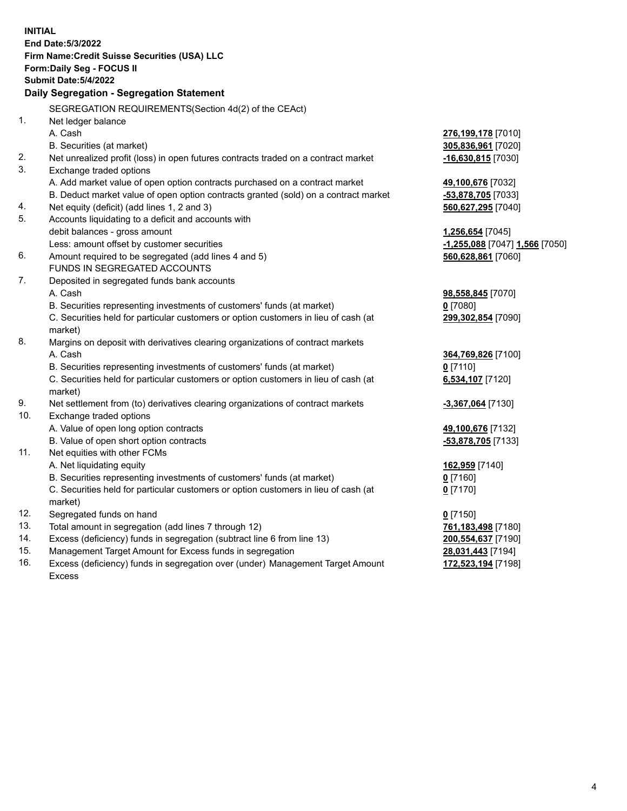| <b>INITIAL</b> |                                                                                     |                                |
|----------------|-------------------------------------------------------------------------------------|--------------------------------|
|                | End Date: 5/3/2022                                                                  |                                |
|                | Firm Name: Credit Suisse Securities (USA) LLC                                       |                                |
|                | Form: Daily Seg - FOCUS II                                                          |                                |
|                | <b>Submit Date: 5/4/2022</b>                                                        |                                |
|                | Daily Segregation - Segregation Statement                                           |                                |
|                | SEGREGATION REQUIREMENTS(Section 4d(2) of the CEAct)                                |                                |
| 1.             | Net ledger balance                                                                  |                                |
|                | A. Cash                                                                             | 276,199,178 [7010]             |
|                | B. Securities (at market)                                                           | 305,836,961 [7020]             |
| 2.             | Net unrealized profit (loss) in open futures contracts traded on a contract market  | -16,630,815 [7030]             |
| 3.             | Exchange traded options                                                             |                                |
|                | A. Add market value of open option contracts purchased on a contract market         | 49,100,676 [7032]              |
|                | B. Deduct market value of open option contracts granted (sold) on a contract market | -53,878,705 [7033]             |
| 4.             | Net equity (deficit) (add lines 1, 2 and 3)                                         | 560,627,295 [7040]             |
| 5.             | Accounts liquidating to a deficit and accounts with                                 |                                |
|                | debit balances - gross amount                                                       | 1,256,654 [7045]               |
|                | Less: amount offset by customer securities                                          | -1,255,088 [7047] 1,566 [7050] |
| 6.             | Amount required to be segregated (add lines 4 and 5)                                | 560,628,861 [7060]             |
|                | <b>FUNDS IN SEGREGATED ACCOUNTS</b>                                                 |                                |
| 7.             | Deposited in segregated funds bank accounts                                         |                                |
|                | A. Cash                                                                             | 98,558,845 [7070]              |
|                | B. Securities representing investments of customers' funds (at market)              | $0$ [7080]                     |
|                | C. Securities held for particular customers or option customers in lieu of cash (at | 299,302,854 [7090]             |
|                | market)                                                                             |                                |
| 8.             | Margins on deposit with derivatives clearing organizations of contract markets      |                                |
|                | A. Cash                                                                             | 364,769,826 [7100]             |
|                | B. Securities representing investments of customers' funds (at market)              | $0$ [7110]                     |
|                | C. Securities held for particular customers or option customers in lieu of cash (at | 6,534,107 [7120]               |
|                | market)                                                                             |                                |
| 9.             | Net settlement from (to) derivatives clearing organizations of contract markets     | -3,367,064 [7130]              |
| 10.            | Exchange traded options                                                             |                                |
|                | A. Value of open long option contracts                                              | 49,100,676 [7132]              |
|                | B. Value of open short option contracts                                             | -53,878,705 [7133]             |
| 11.            | Net equities with other FCMs                                                        |                                |
|                | A. Net liquidating equity                                                           | 162,959 [7140]                 |
|                | B. Securities representing investments of customers' funds (at market)              | $0$ [7160]                     |
|                | C. Securities held for particular customers or option customers in lieu of cash (at | $0$ [7170]                     |
|                | market)                                                                             |                                |
| 12.            | Segregated funds on hand                                                            | $0$ [7150]                     |
| 13.            | Total amount in segregation (add lines 7 through 12)                                | 761,183,498 [7180]             |
| 14.            | Excess (deficiency) funds in segregation (subtract line 6 from line 13)             | 200,554,637 [7190]             |
| 15.            | Management Target Amount for Excess funds in segregation                            | 28,031,443 [7194]              |
| 16.            | Excess (deficiency) funds in segregation over (under) Management Target Amount      | 172,523,194 [7198]             |
|                | <b>Excess</b>                                                                       |                                |